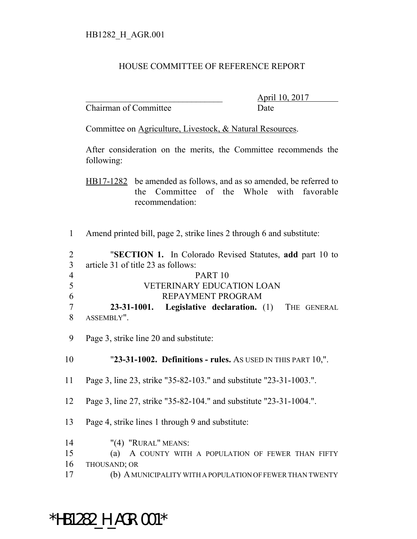## HOUSE COMMITTEE OF REFERENCE REPORT

Chairman of Committee Date

\_\_\_\_\_\_\_\_\_\_\_\_\_\_\_\_\_\_\_\_\_\_\_\_\_\_\_\_\_\_\_ April 10, 2017

Committee on Agriculture, Livestock, & Natural Resources.

After consideration on the merits, the Committee recommends the following:

HB17-1282 be amended as follows, and as so amended, be referred to the Committee of the Whole with favorable recommendation:

Amend printed bill, page 2, strike lines 2 through 6 and substitute:

 "**SECTION 1.** In Colorado Revised Statutes, **add** part 10 to article 31 of title 23 as follows: PART 10 VETERINARY EDUCATION LOAN REPAYMENT PROGRAM **23-31-1001. Legislative declaration.** (1) THE GENERAL ASSEMBLY". Page 3, strike line 20 and substitute: "**23-31-1002. Definitions - rules.** AS USED IN THIS PART 10,". Page 3, line 23, strike "35-82-103." and substitute "23-31-1003.". Page 3, line 27, strike "35-82-104." and substitute "23-31-1004.". Page 4, strike lines 1 through 9 and substitute: "(4) "RURAL" MEANS: (a) A COUNTY WITH A POPULATION OF FEWER THAN FIFTY

- THOUSAND; OR
- (b) A MUNICIPALITY WITH A POPULATION OF FEWER THAN TWENTY

 $*$ HB1282 H AGR.001 $*$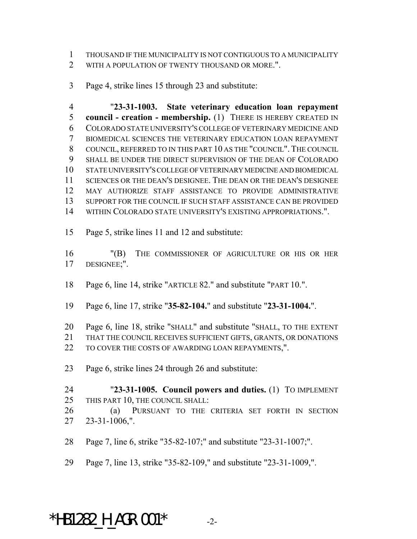THOUSAND IF THE MUNICIPALITY IS NOT CONTIGUOUS TO A MUNICIPALITY 2 WITH A POPULATION OF TWENTY THOUSAND OR MORE.".

Page 4, strike lines 15 through 23 and substitute:

 "**23-31-1003. State veterinary education loan repayment council - creation - membership.** (1) THERE IS HEREBY CREATED IN COLORADO STATE UNIVERSITY'S COLLEGE OF VETERINARY MEDICINE AND BIOMEDICAL SCIENCES THE VETERINARY EDUCATION LOAN REPAYMENT COUNCIL, REFERRED TO IN THIS PART 10 AS THE "COUNCIL". THE COUNCIL SHALL BE UNDER THE DIRECT SUPERVISION OF THE DEAN OF COLORADO STATE UNIVERSITY'S COLLEGE OF VETERINARY MEDICINE AND BIOMEDICAL SCIENCES OR THE DEAN'S DESIGNEE. THE DEAN OR THE DEAN'S DESIGNEE MAY AUTHORIZE STAFF ASSISTANCE TO PROVIDE ADMINISTRATIVE SUPPORT FOR THE COUNCIL IF SUCH STAFF ASSISTANCE CAN BE PROVIDED WITHIN COLORADO STATE UNIVERSITY'S EXISTING APPROPRIATIONS.".

Page 5, strike lines 11 and 12 and substitute:

 "(B) THE COMMISSIONER OF AGRICULTURE OR HIS OR HER DESIGNEE;".

- Page 6, line 14, strike "ARTICLE 82." and substitute "PART 10.".
- Page 6, line 17, strike "**35-82-104.**" and substitute "**23-31-1004.**".
- Page 6, line 18, strike "SHALL" and substitute "SHALL, TO THE EXTENT
- THAT THE COUNCIL RECEIVES SUFFICIENT GIFTS, GRANTS, OR DONATIONS
- 22 TO COVER THE COSTS OF AWARDING LOAN REPAYMENTS,".
- Page 6, strike lines 24 through 26 and substitute:
- "**23-31-1005. Council powers and duties.** (1) TO IMPLEMENT THIS PART 10, THE COUNCIL SHALL:
- (a) PURSUANT TO THE CRITERIA SET FORTH IN SECTION 23-31-1006,".
- Page 7, line 6, strike "35-82-107;" and substitute "23-31-1007;".
- Page 7, line 13, strike "35-82-109," and substitute "23-31-1009,".

## \*HB1282 H AGR.001\*  $-2$ -